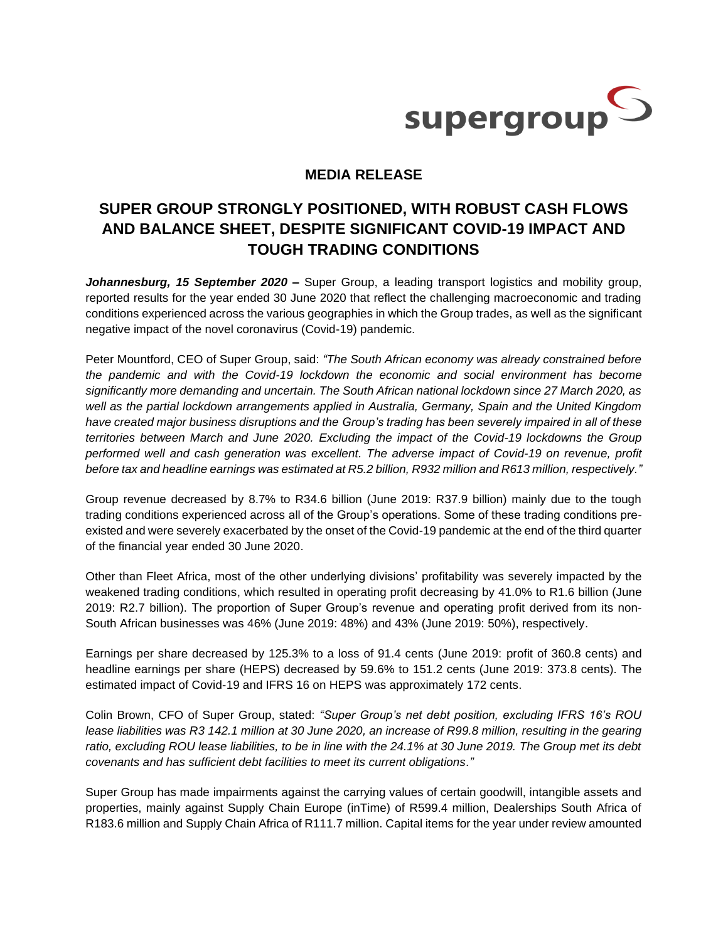

## **MEDIA RELEASE**

## **SUPER GROUP STRONGLY POSITIONED, WITH ROBUST CASH FLOWS AND BALANCE SHEET, DESPITE SIGNIFICANT COVID-19 IMPACT AND TOUGH TRADING CONDITIONS**

*Johannesburg, 15 September 2020 –* Super Group, a leading transport logistics and mobility group, reported results for the year ended 30 June 2020 that reflect the challenging macroeconomic and trading conditions experienced across the various geographies in which the Group trades, as well as the significant negative impact of the novel coronavirus (Covid-19) pandemic.

Peter Mountford, CEO of Super Group, said: *"The South African economy was already constrained before the pandemic and with the Covid-19 lockdown the economic and social environment has become significantly more demanding and uncertain. The South African national lockdown since 27 March 2020, as well as the partial lockdown arrangements applied in Australia, Germany, Spain and the United Kingdom have created major business disruptions and the Group's trading has been severely impaired in all of these territories between March and June 2020. Excluding the impact of the Covid-19 lockdowns the Group performed well and cash generation was excellent. The adverse impact of Covid-19 on revenue, profit before tax and headline earnings was estimated at R5.2 billion, R932 million and R613 million, respectively."*

Group revenue decreased by 8.7% to R34.6 billion (June 2019: R37.9 billion) mainly due to the tough trading conditions experienced across all of the Group's operations. Some of these trading conditions preexisted and were severely exacerbated by the onset of the Covid-19 pandemic at the end of the third quarter of the financial year ended 30 June 2020.

Other than Fleet Africa, most of the other underlying divisions' profitability was severely impacted by the weakened trading conditions, which resulted in operating profit decreasing by 41.0% to R1.6 billion (June 2019: R2.7 billion). The proportion of Super Group's revenue and operating profit derived from its non-South African businesses was 46% (June 2019: 48%) and 43% (June 2019: 50%), respectively.

Earnings per share decreased by 125.3% to a loss of 91.4 cents (June 2019: profit of 360.8 cents) and headline earnings per share (HEPS) decreased by 59.6% to 151.2 cents (June 2019: 373.8 cents). The estimated impact of Covid-19 and IFRS 16 on HEPS was approximately 172 cents.

Colin Brown, CFO of Super Group, stated: *"Super Group's net debt position, excluding IFRS 16's ROU lease liabilities was R3 142.1 million at 30 June 2020, an increase of R99.8 million, resulting in the gearing ratio, excluding ROU lease liabilities, to be in line with the 24.1% at 30 June 2019. The Group met its debt covenants and has sufficient debt facilities to meet its current obligations."*

Super Group has made impairments against the carrying values of certain goodwill, intangible assets and properties, mainly against Supply Chain Europe (inTime) of R599.4 million, Dealerships South Africa of R183.6 million and Supply Chain Africa of R111.7 million. Capital items for the year under review amounted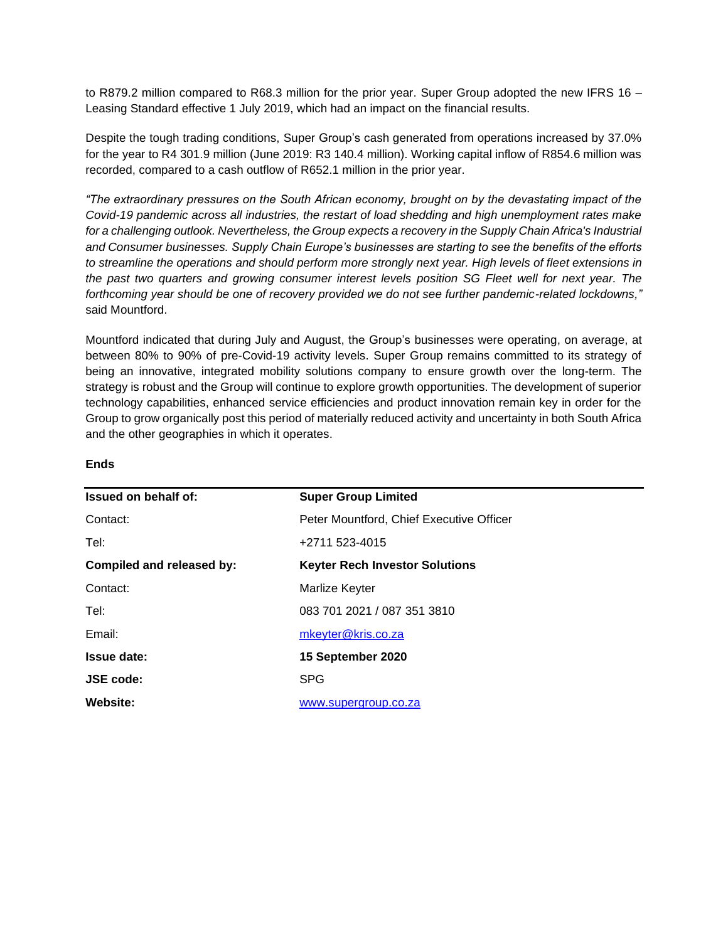to R879.2 million compared to R68.3 million for the prior year. Super Group adopted the new IFRS 16 – Leasing Standard effective 1 July 2019, which had an impact on the financial results.

Despite the tough trading conditions, Super Group's cash generated from operations increased by 37.0% for the year to R4 301.9 million (June 2019: R3 140.4 million). Working capital inflow of R854.6 million was recorded, compared to a cash outflow of R652.1 million in the prior year.

*"The extraordinary pressures on the South African economy, brought on by the devastating impact of the Covid-19 pandemic across all industries, the restart of load shedding and high unemployment rates make for a challenging outlook. Nevertheless, the Group expects a recovery in the Supply Chain Africa's Industrial and Consumer businesses. Supply Chain Europe's businesses are starting to see the benefits of the efforts to streamline the operations and should perform more strongly next year. High levels of fleet extensions in the past two quarters and growing consumer interest levels position SG Fleet well for next year. The forthcoming year should be one of recovery provided we do not see further pandemic-related lockdowns,"* said Mountford.

Mountford indicated that during July and August, the Group's businesses were operating, on average, at between 80% to 90% of pre-Covid-19 activity levels. Super Group remains committed to its strategy of being an innovative, integrated mobility solutions company to ensure growth over the long-term. The strategy is robust and the Group will continue to explore growth opportunities. The development of superior technology capabilities, enhanced service efficiencies and product innovation remain key in order for the Group to grow organically post this period of materially reduced activity and uncertainty in both South Africa and the other geographies in which it operates.

| Issued on behalf of:      | <b>Super Group Limited</b>               |  |
|---------------------------|------------------------------------------|--|
| Contact:                  | Peter Mountford, Chief Executive Officer |  |
| Tel:                      | +2711 523-4015                           |  |
| Compiled and released by: | <b>Keyter Rech Investor Solutions</b>    |  |
| Contact:                  | Marlize Keyter                           |  |
| Tel:                      | 083 701 2021 / 087 351 3810              |  |
| Email:                    | mkeyter@kris.co.za                       |  |
| <b>Issue date:</b>        | 15 September 2020                        |  |
| <b>JSE code:</b>          | <b>SPG</b>                               |  |
| Website:                  | www.supergroup.co.za                     |  |
|                           |                                          |  |

## **Ends**